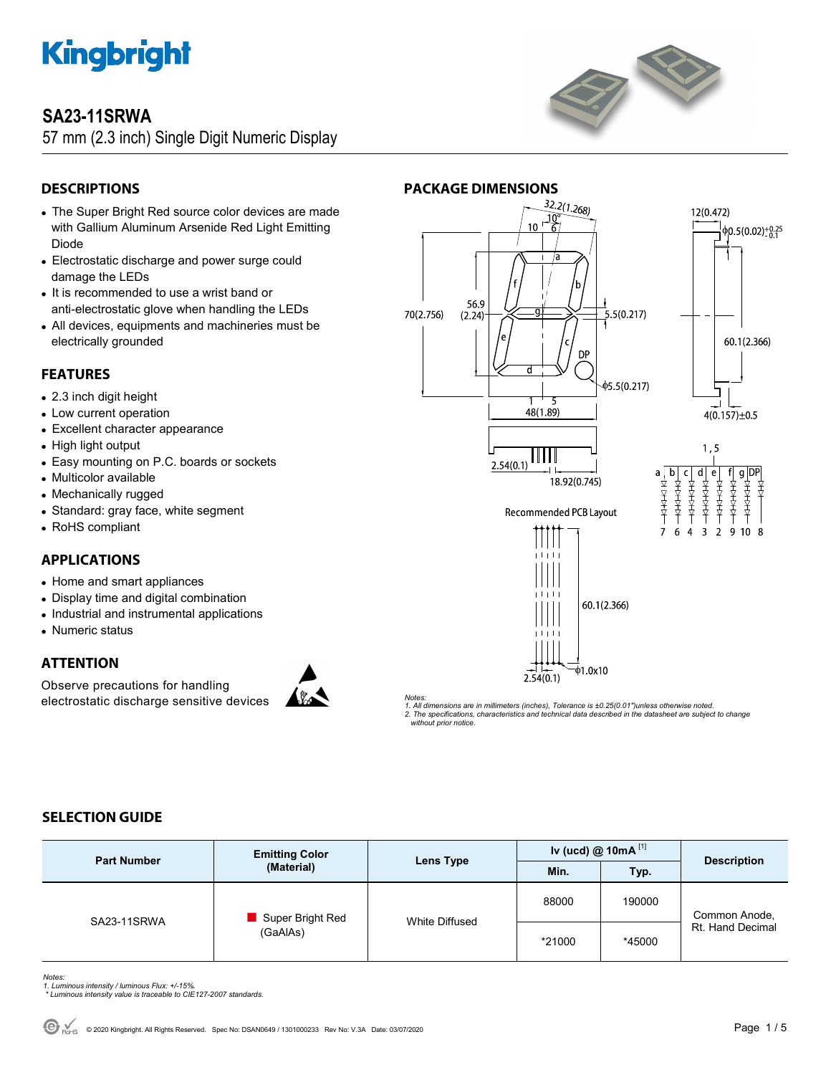

### **SA23-11SRWA**

57 mm (2.3 inch) Single Digit Numeric Display



### **DESCRIPTIONS**

- The Super Bright Red source color devices are made with Gallium Aluminum Arsenide Red Light Emitting Diode
- Electrostatic discharge and power surge could damage the LEDs
- It is recommended to use a wrist band or anti-electrostatic glove when handling the LEDs
- All devices, equipments and machineries must be electrically grounded

### **FEATURES**

- 2.3 inch digit height
- Low current operation
- Excellent character appearance
- High light output
- Easy mounting on P.C. boards or sockets
- Multicolor available
- Mechanically rugged
- Standard: gray face, white segment
- RoHS compliant

### **APPLICATIONS**

- Home and smart appliances
- Display time and digital combination
- Industrial and instrumental applications
- Numeric status

### **ATTENTION**

Observe precautions for handling electrostatic discharge sensitive devices



**PACKAGE DIMENSIONS**<br>  $\sqrt{32.2(1.268)}$ 12(0.472) 10  $\phi$ 0.5(0.02)<sup>+0.25</sup> 56.9 70(2.756)  $\overline{5.5(0.217)}$  $(2.24)$ 60.1(2.366) **DP** 05.5(0.217) . 1 48(1.89)  $4(0.157) \pm 0.5$  $1, 5$ Ш  $2.54(0.1)$  $\overline{b}$  $\mathsf{C}$ d a 18.92(0.745) 大丈夫 大丈夫 太太太 大大大大 太太太太 **Recommended PCB Layout**  $\overline{3}$  $\overline{9}$ 6  $\Delta$  $\overline{2}$  $10<sub>8</sub>$ 60.1(2.366)

*Notes:* 

*1. All dimensions are in millimeters (inches), Tolerance is ±0.25(0.01")unless otherwise noted. 2. The specifications, characteristics and technical data described in the datasheet are subject to change without prior notice.* 

 $2.54(0.1)$ 

 $\phi$ 1.0x10

### **SELECTION GUIDE**

| <b>Part Number</b> | <b>Emitting Color</b><br>(Material) | Lens Type      | Iv (ucd) $@$ 10mA $^{[1]}$ |        | <b>Description</b>                |
|--------------------|-------------------------------------|----------------|----------------------------|--------|-----------------------------------|
|                    |                                     |                | Min.                       | Typ.   |                                   |
| SA23-11SRWA        | Super Bright Red<br>(GaAlAs)        | White Diffused | 88000                      | 190000 | Common Anode,<br>Rt. Hand Decimal |
|                    |                                     |                | *21000                     | *45000 |                                   |

*Notes: 1. Luminous intensity / luminous Flux: +/-15%.* 

 *\* Luminous intensity value is traceable to CIE127-2007 standards.*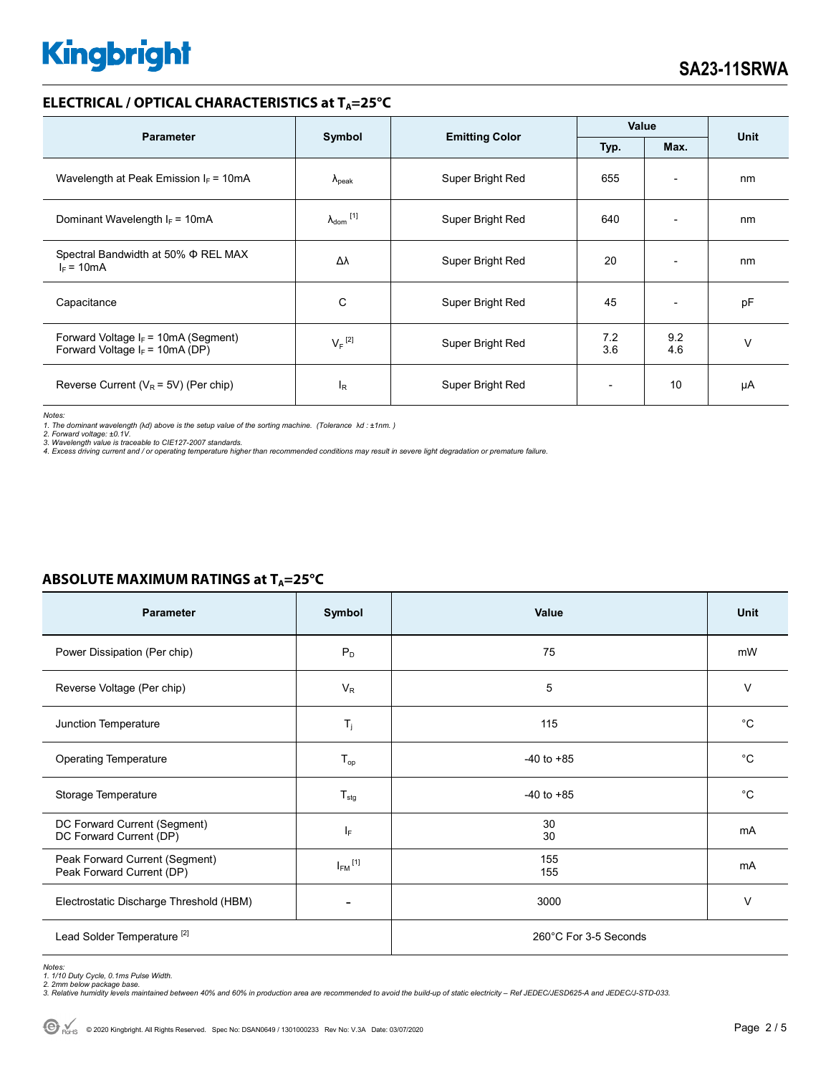#### **ELECTRICAL / OPTICAL CHARACTERISTICS at T<sub>A</sub>=25°C**

| <b>Parameter</b>                                                            | Symbol                       | <b>Emitting Color</b> | Value      |                          |             |
|-----------------------------------------------------------------------------|------------------------------|-----------------------|------------|--------------------------|-------------|
|                                                                             |                              |                       | Typ.       | Max.                     | <b>Unit</b> |
| Wavelength at Peak Emission $I_F = 10mA$                                    | $\Lambda_{\rm peak}$         | Super Bright Red      | 655        | $\overline{\phantom{a}}$ | nm          |
| Dominant Wavelength $I_F = 10mA$                                            | $\lambda_{\mathsf{dom}}$ [1] | Super Bright Red      | 640        |                          | nm          |
| Spectral Bandwidth at 50% Φ REL MAX<br>$I_F = 10mA$                         | Δλ                           | Super Bright Red      | 20         | ٠                        | nm          |
| Capacitance                                                                 | C                            | Super Bright Red      | 45         | $\overline{\phantom{a}}$ | pF          |
| Forward Voltage $I_F$ = 10mA (Segment)<br>Forward Voltage $I_F$ = 10mA (DP) | $V_F$ <sup>[2]</sup>         | Super Bright Red      | 7.2<br>3.6 | 9.2<br>4.6               | $\vee$      |
| Reverse Current ( $V_R$ = 5V) (Per chip)                                    | I <sub>R</sub>               | Super Bright Red      |            | 10                       | μA          |

*Notes:* 

1. The dominant wavelength (λd) above is the setup value of the sorting machine. (Tolerance λd : ±1nm. )<br>2. Forward voltage: ±0.1V.<br>3. Wavelength value is traceable to CIE127-2007 standards.

*4. Excess driving current and / or operating temperature higher than recommended conditions may result in severe light degradation or premature failure.* 

| <b>Parameter</b>                                            | Symbol                  | Value                 | <b>Unit</b> |  |
|-------------------------------------------------------------|-------------------------|-----------------------|-------------|--|
| Power Dissipation (Per chip)                                | $P_D$                   | 75                    | mW          |  |
| Reverse Voltage (Per chip)                                  | $V_{R}$                 | 5                     | V           |  |
| Junction Temperature                                        | $T_{j}$                 | 115                   | $^{\circ}C$ |  |
| <b>Operating Temperature</b>                                | $T_{op}$                | $-40$ to $+85$        | $^{\circ}C$ |  |
| Storage Temperature                                         | $T_{\text{stg}}$        | $-40$ to $+85$        | $^{\circ}C$ |  |
| DC Forward Current (Segment)<br>DC Forward Current (DP)     | IF.                     | 30<br>30              | mA          |  |
| Peak Forward Current (Segment)<br>Peak Forward Current (DP) | $I_{FM}$ <sup>[1]</sup> | 155<br>155            | mA          |  |
| Electrostatic Discharge Threshold (HBM)                     |                         | 3000                  | V           |  |
| Lead Solder Temperature <sup>[2]</sup>                      |                         | 260°C For 3-5 Seconds |             |  |

### **ABSOLUTE MAXIMUM RATINGS at T<sub>A</sub>=25°C**

*Notes: 1. 1/10 Duty Cycle, 0.1ms Pulse Width.* 

*2. 2mm below package base. 3. Relative humidity levels maintained between 40% and 60% in production area are recommended to avoid the build-up of static electricity – Ref JEDEC/JESD625-A and JEDEC/J-STD-033.*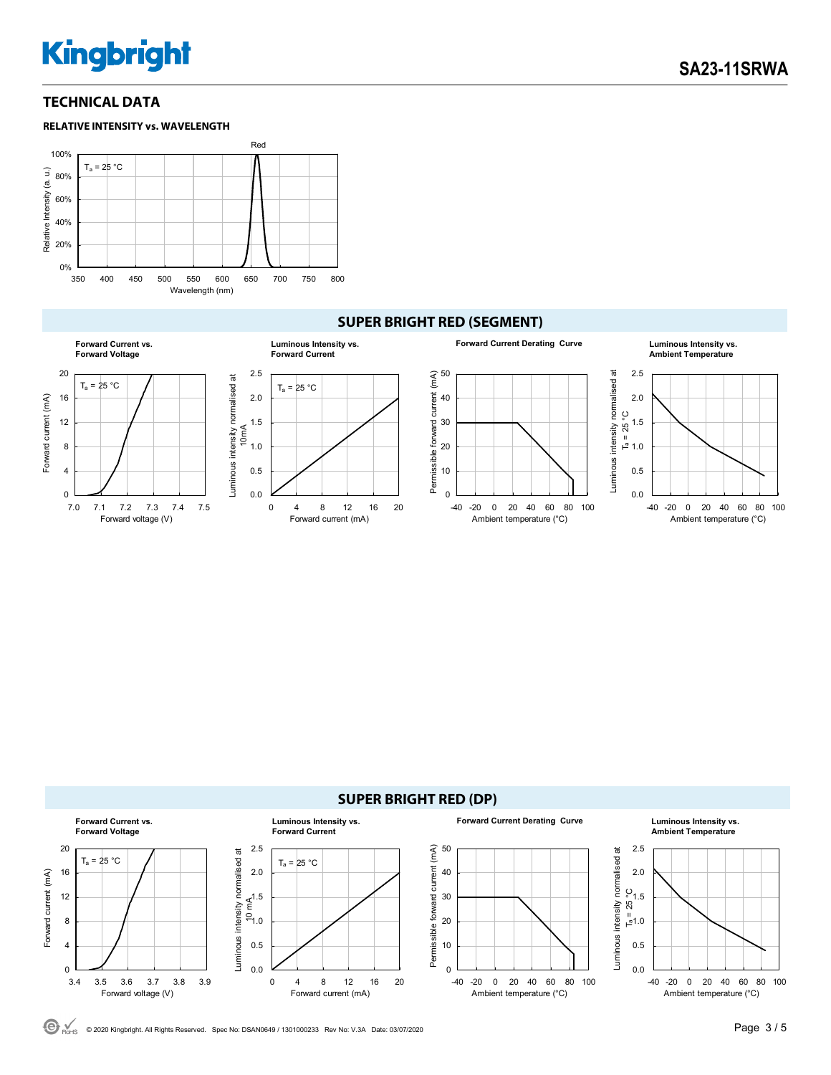### **TECHNICAL DATA**



### **SUPER BRIGHT RED (SEGMENT)**





© 2020 Kingbright. All Rights Reserved. Spec No: DSAN0649 / 1301000233 Rev No: V.3A Date: 03/07/2020Page 3 / 5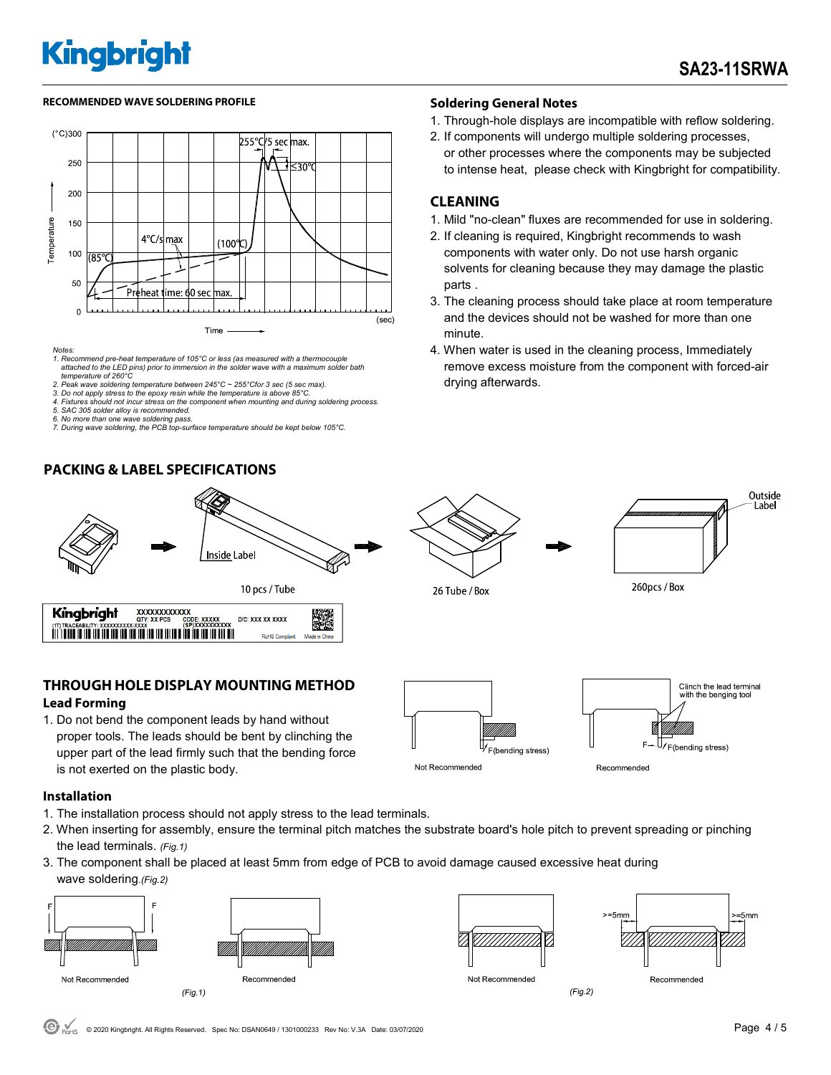#### RECOMMENDED WAVE SOLDERING PROFILE **A CONTACT A CONTACT SOLDERING PROFILE** SOLDERING PROFILE



- *attached to the LED pins) prior to immersion in the solder wave with a maximum solder bath temperature of 260°C*
- 
- *4. Fixtures should not incur stress on the component when mounting and during soldering process.*
- 
- 
- *7. During wave soldering, the PCB top-surface temperature should be kept below 105°C.*

### **PACKING & LABEL SPECIFICATIONS**



### **THROUGH HOLE DISPLAY MOUNTING METHOD Lead Forming**

1. Do not bend the component leads by hand without proper tools. The leads should be bent by clinching the upper part of the lead firmly such that the bending force is not exerted on the plastic body.





- 1. The installation process should not apply stress to the lead terminals.
- 2. When inserting for assembly, ensure the terminal pitch matches the substrate board's hole pitch to prevent spreading or pinching the lead terminals. *(Fig.1)*
- 3. The component shall be placed at least 5mm from edge of PCB to avoid damage caused excessive heat during wave soldering.*(Fig.2)*







Not Recommended

 $(Fig.2)$ 

Recommended

260pcs / Box

### *Notes: 1. Recommend pre-heat temperature of 105°C or less (as measured with a thermocouple 2. Peak wave soldering temperature between 245°C ~ 255°Cfor 3 sec (5 sec max). 3. Do not apply stress to the epoxy resin while the temperature is above 85°C.*



- 1. Through-hole displays are incompatible with reflow soldering.
- 2. If components will undergo multiple soldering processes, or other processes where the components may be subjected to intense heat, please check with Kingbright for compatibility.

### **CLEANING**

26 Tube / Box

- 1. Mild "no-clean" fluxes are recommended for use in soldering.
- 2. If cleaning is required, Kingbright recommends to wash components with water only. Do not use harsh organic solvents for cleaning because they may damage the plastic parts .
- 3. The cleaning process should take place at room temperature and the devices should not be washed for more than one minute.
- 4. When water is used in the cleaning process, Immediately remove excess moisture from the component with forced-air drying afterwards.

Outside Label